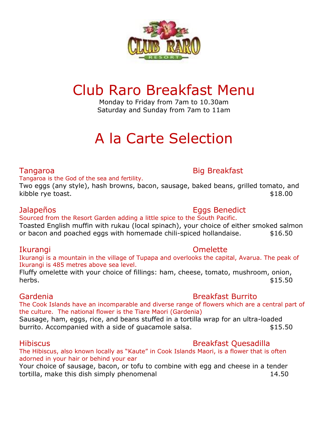

Monday to Friday from 7am to 10.30am Saturday and Sunday from 7am to 11am

# A la Carte Selection

### Tangaroa **Big Breakfast**

Tangaroa is the God of the sea and fertility.

Two eggs (any style), hash browns, bacon, sausage, baked beans, grilled tomato, and kibble rye toast.  $$18.00$ 

# Jalapeños Eggs Benedict

Sourced from the Resort Garden adding a little spice to the South Pacific. Toasted English muffin with rukau (local spinach), your choice of either smoked salmon or bacon and poached eggs with homemade chili-spiced hollandaise.  $$16.50$ 

# Ikurangi Omelette

Ikurangi is a mountain in the village of Tupapa and overlooks the capital, Avarua. The peak of Ikurangi is 485 metres above sea level.

Fluffy omelette with your choice of fillings: ham, cheese, tomato, mushroom, onion, herbs. \$15.50

# Gardenia **Breakfast Burrito**

The Cook Islands have an incomparable and diverse range of flowers which are a central part of the culture. The national flower is the Tiare Maori (Gardenia)

Sausage, ham, eggs, rice, and beans stuffed in a tortilla wrap for an ultra-loaded burrito. Accompanied with a side of quacamole salsa.  $$15.50$ 

# Hibiscus Breakfast Quesadilla

The Hibiscus, also known locally as "Kaute" in Cook Islands Maori, is a flower that is often adorned in your hair or behind your ear

Your choice of sausage, bacon, or tofu to combine with egg and cheese in a tender tortilla, make this dish simply phenomenal intervals and the state of 14.50